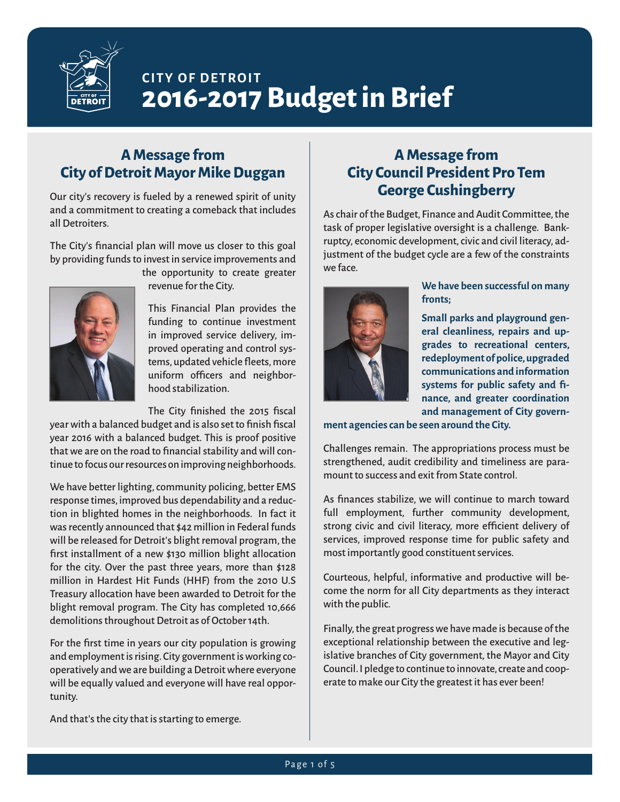

# **CITY OF DETROIT 2016-2017 Budget in Brief**

# **A Message from City of Detroit Mayor Mike Duggan**

Our city's recovery is fueled by a renewed spirit of unity and a commitment to creating a comeback that includes all Detroiters.

The City's financial plan will move us closer to this goal by providing funds to invest in service improvements and



the opportunity to create greater revenue for the City.

This Financial Plan provides the funding to continue investment in improved service delivery, improved operating and control systems, updated vehicle fleets, more uniform officers and neighborhood stabilization.

The City finished the 2015 fiscal

year with a balanced budget and is also set to finish fiscal year 2016 with a balanced budget. This is proof positive that we are on the road to financial stability and will continue to focus our resources on improving neighborhoods.

We have better lighting, community policing, better EMS response times, improved bus dependability and a reduction in blighted homes in the neighborhoods. In fact it was recently announced that \$42 million in Federal funds will be released for Detroit's blight removal program, the first installment of a new \$130 million blight allocation for the city. Over the past three years, more than \$128 million in Hardest Hit Funds (HHF) from the 2010 U.S Treasury allocation have been awarded to Detroit for the blight removal program. The City has completed 10,666 demolitions throughout Detroit as of October 14th.

For the first time in years our city population is growing and employment is rising. City government is working cooperatively and we are building a Detroit where everyone will be equally valued and everyone will have real opportunity.

And that's the city that is starting to emerge.

# **A Message from City Council President Pro Tem George Cushingberry**

As chair of the Budget, Finance and Audit Committee, the task of proper legislative oversight is a challenge. Bankruptcy, economic development, civic and civil literacy, adjustment of the budget cycle are a few of the constraints we face.



**We have been successful on many fronts;**

**Small parks and playground general cleanliness, repairs and upgrades to recreational centers, redeployment of police, upgraded communications and information systems for public safety and finance, and greater coordination and management of City govern-**

**ment agencies can be seen around the City.**

Challenges remain. The appropriations process must be strengthened, audit credibility and timeliness are paramount to success and exit from State control.

As finances stabilize, we will continue to march toward full employment, further community development, strong civic and civil literacy, more efficient delivery of services, improved response time for public safety and most importantly good constituent services.

Courteous, helpful, informative and productive will become the norm for all City departments as they interact with the public.

Finally, the great progress we have made is because of the exceptional relationship between the executive and legislative branches of City government, the Mayor and City Council. I pledge to continue to innovate, create and cooperate to make our City the greatest it has ever been!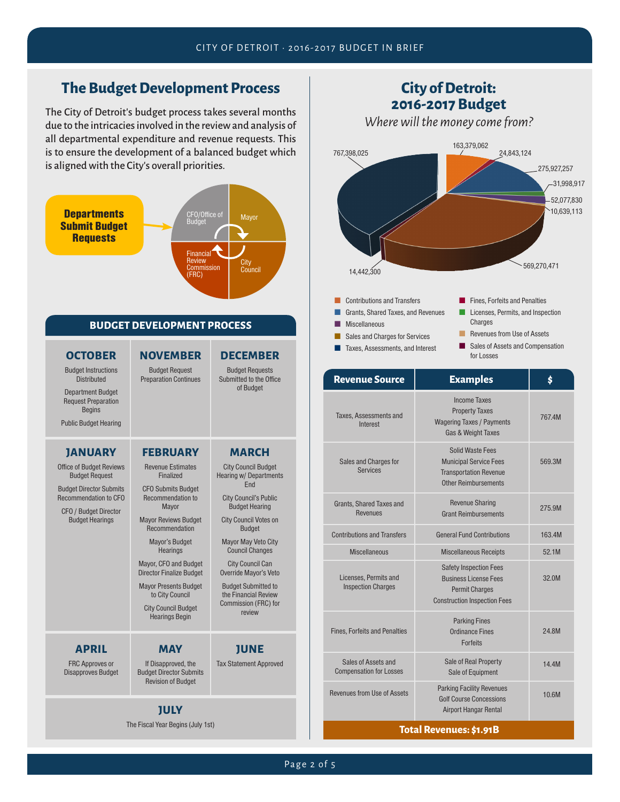# **The Budget Development Process**

The City of Detroit's budget process takes several months due to the intricacies involved in the review and analysis of all departmental expenditure and revenue requests. This is to ensure the development of a balanced budget which is aligned with the City's overall priorities.



**JULY** The Fiscal Year Begins (July 1st)



| <b>Revenue Source</b>                                 | <b>Examples</b>                                                                                                               | Ś      |
|-------------------------------------------------------|-------------------------------------------------------------------------------------------------------------------------------|--------|
| Taxes, Assessments and<br>Interest                    | <b>Income Taxes</b><br><b>Property Taxes</b><br><b>Wagering Taxes / Payments</b><br>Gas & Weight Taxes                        | 767.4M |
| Sales and Charges for<br><b>Services</b>              | Solid Waste Fees<br><b>Municipal Service Fees</b><br><b>Transportation Revenue</b><br>Other Reimbursements                    | 569.3M |
| Grants, Shared Taxes and<br><b>Revenues</b>           | <b>Revenue Sharing</b><br><b>Grant Reimbursements</b>                                                                         | 275.9M |
| <b>Contributions and Transfers</b>                    | <b>General Fund Contributions</b>                                                                                             | 163.4M |
| <b>Miscellaneous</b>                                  | <b>Miscellaneous Receipts</b>                                                                                                 | 52.1M  |
| Licenses. Permits and<br><b>Inspection Charges</b>    | <b>Safety Inspection Fees</b><br><b>Business License Fees</b><br><b>Permit Charges</b><br><b>Construction Inspection Fees</b> | 32.0M  |
| <b>Fines, Forfeits and Penalties</b>                  | <b>Parking Fines</b><br>Ordinance Fines<br><b>Forfeits</b>                                                                    | 24.8M  |
| Sales of Assets and<br><b>Compensation for Losses</b> | Sale of Real Property<br>Sale of Equipment                                                                                    | 14.4M  |
| Revenues from Use of Assets                           | <b>Parking Facility Revenues</b><br><b>Golf Course Concessions</b><br><b>Airport Hangar Rental</b>                            | 10.6M  |

#### **Total Revenues: \$1.91B**

# Page 2 of 5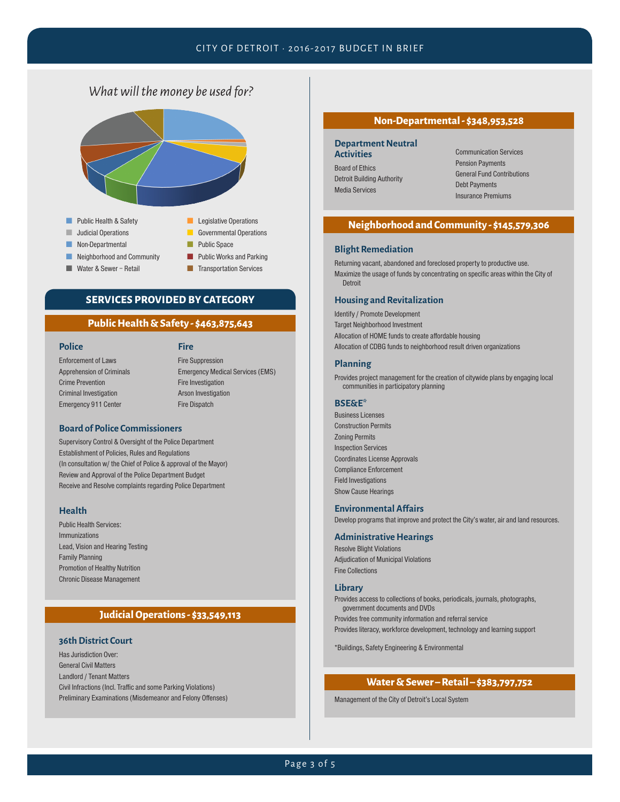#### CITY OF DETROIT • 2016-2017 BUDGET IN BRIEF

### *What will the money be used for?*



### **SERVICES PROVIDED BY CATEGORY**

#### **Public Health & Safety - \$463,875,643**

**Police**

#### **Fire**

Enforcement of Laws Apprehension of Criminals Crime Prevention Criminal Investigation Emergency 911 Center

Fire Suppression Emergency Medical Services (EMS) Fire Investigation Arson Investigation Fire Dispatch

#### **Board of Police Commissioners**

Supervisory Control & Oversight of the Police Department Establishment of Policies, Rules and Regulations (In consultation w/ the Chief of Police & approval of the Mayor) Review and Approval of the Police Department Budget Receive and Resolve complaints regarding Police Department

#### **Health**

Public Health Services: Immunizations Lead, Vision and Hearing Testing Family Planning Promotion of Healthy Nutrition Chronic Disease Management

### **Judicial Operations - \$33,549,113**

#### **36th District Court**

Has Jurisdiction Over: General Civil Matters Landlord / Tenant Matters Civil Infractions (Incl. Traffic and some Parking Violations) Preliminary Examinations (Misdemeanor and Felony Offenses)

#### **Non-Departmental - \$348,953,528**

#### **Department Neutral Activities**

Board of Ethics Detroit Building Authority Media Services

Communication Services Pension Payments General Fund Contributions Debt Payments Insurance Premiums

#### **Neighborhood and Community - \$145,579,306**

#### **Blight Remediation**

Returning vacant, abandoned and foreclosed property to productive use. Maximize the usage of funds by concentrating on specific areas within the City of Detroit

#### **Housing and Revitalization**

Identify / Promote Development Target Neighborhood Investment Allocation of HOME funds to create affordable housing Allocation of CDBG funds to neighborhood result driven organizations

#### **Planning**

Provides project management for the creation of citywide plans by engaging local communities in participatory planning

#### **BSE&E\***

Business Licenses Construction Permits Zoning Permits Inspection Services Coordinates License Approvals Compliance Enforcement Field Investigations Show Cause Hearings

#### **Environmental Affairs**

Develop programs that improve and protect the City's water, air and land resources.

#### **Administrative Hearings**

Resolve Blight Violations Adjudication of Municipal Violations Fine Collections

#### **Library**

Provides access to collections of books, periodicals, journals, photographs, government documents and DVDs

Provides free community information and referral service

Provides literacy, workforce development, technology and learning support

\*Buildings, Safety Engineering & Environmental

#### **Water & Sewer – Retail – \$383,797,752**

Management of the City of Detroit's Local System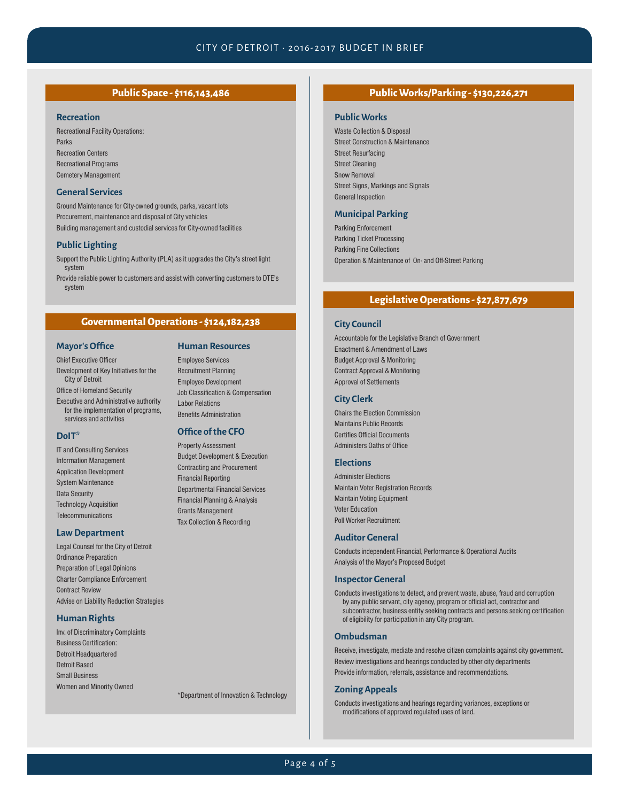#### **Recreation**

Recreational Facility Operations: Parks Recreation Centers Recreational Programs Cemetery Management

#### **General Services**

Ground Maintenance for City-owned grounds, parks, vacant lots Procurement, maintenance and disposal of City vehicles Building management and custodial services for City-owned facilities

#### **Public Lighting**

Support the Public Lighting Authority (PLA) as it upgrades the City's street light system

Provide reliable power to customers and assist with converting customers to DTE's system

#### **Governmental Operations - \$124,182,238**

**Human Resources** Employee Services Recruitment Planning Employee Development Job Classification & Compensation

Departmental Financial Services Financial Planning & Analysis Grants Management Tax Collection & Recording

Labor Relations Benefits Administration **Office of the CFO** Property Assessment Budget Development & Execution Contracting and Procurement Financial Reporting

#### **Mayor's Office**

#### Chief Executive Officer

Development of Key Initiatives for the City of Detroit

Office of Homeland Security

Executive and Administrative authority for the implementation of programs, services and activities

#### **DoIT\***

IT and Consulting Services Information Management Application Development System Maintenance Data Security Technology Acquisition **Telecommunications** 

#### **Law Department**

Legal Counsel for the City of Detroit Ordinance Preparation Preparation of Legal Opinions Charter Compliance Enforcement Contract Review Advise on Liability Reduction Strategies

#### **Human Rights**

Inv. of Discriminatory Complaints Business Certification: Detroit Headquartered Detroit Based Small Business Women and Minority Owned

\*Department of Innovation & Technology

### **Public Space - \$116,143,486 Public Works/Parking - \$130,226,271**

#### **Public Works**

Waste Collection & Disposal Street Construction & Maintenance Street Resurfacing Street Cleaning Snow Removal Street Signs, Markings and Signals General Inspection

#### **Municipal Parking**

Parking Enforcement Parking Ticket Processing Parking Fine Collections Operation & Maintenance of On- and Off-Street Parking

#### **Legislative Operations - \$27,877,679**

#### **City Council**

Accountable for the Legislative Branch of Government Enactment & Amendment of Laws Budget Approval & Monitoring Contract Approval & Monitoring Approval of Settlements

#### **City Clerk**

Chairs the Election Commission Maintains Public Records Certifies Official Documents Administers Oaths of Office

#### **Elections**

Administer Elections Maintain Voter Registration Records Maintain Voting Equipment Voter Education Poll Worker Recruitment

#### **Auditor General**

Conducts independent Financial, Performance & Operational Audits Analysis of the Mayor's Proposed Budget

#### **Inspector General**

Conducts investigations to detect, and prevent waste, abuse, fraud and corruption by any public servant, city agency, program or official act, contractor and subcontractor, business entity seeking contracts and persons seeking certification of eligibility for participation in any City program.

#### **Ombudsman**

Receive, investigate, mediate and resolve citizen complaints against city government. Review investigations and hearings conducted by other city departments Provide information, referrals, assistance and recommendations.

#### **Zoning Appeals**

Conducts investigations and hearings regarding variances, exceptions or modifications of approved regulated uses of land.